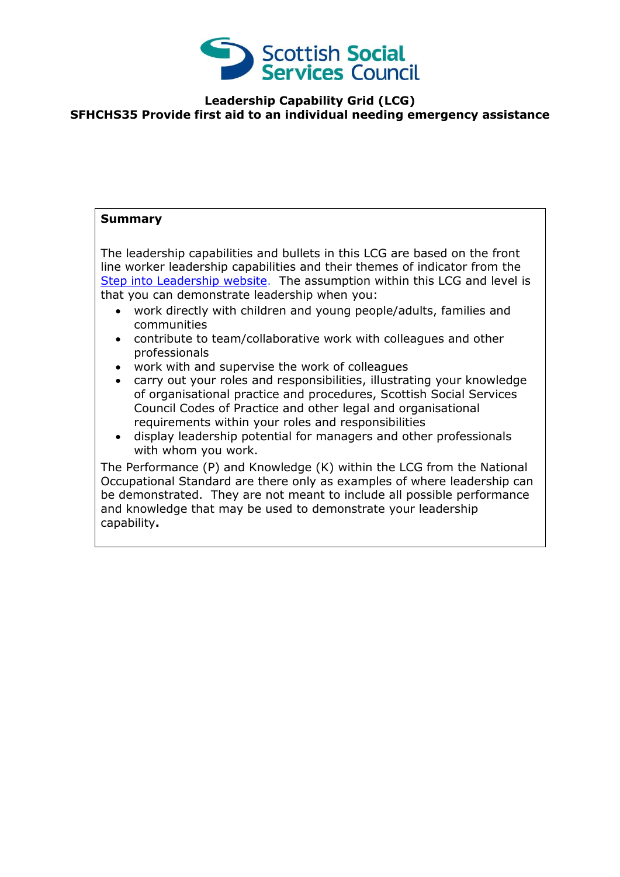

## **Leadership Capability Grid (LCG) SFHCHS35 Provide first aid to an individual needing emergency assistance**

## **Summary**

The leadership capabilities and bullets in this LCG are based on the front line worker leadership capabilities and their themes of indicator from the [Step into Leadership](http://www.stepintoleadership.info/) website. The assumption within this LCG and level is that you can demonstrate leadership when you:

- work directly with children and young people/adults, families and communities
- contribute to team/collaborative work with colleagues and other professionals
- work with and supervise the work of colleagues
- carry out your roles and responsibilities, illustrating your knowledge of organisational practice and procedures, Scottish Social Services Council Codes of Practice and other legal and organisational requirements within your roles and responsibilities
- display leadership potential for managers and other professionals with whom you work.

The Performance (P) and Knowledge (K) within the LCG from the National Occupational Standard are there only as examples of where leadership can be demonstrated. They are not meant to include all possible performance and knowledge that may be used to demonstrate your leadership capability**.**